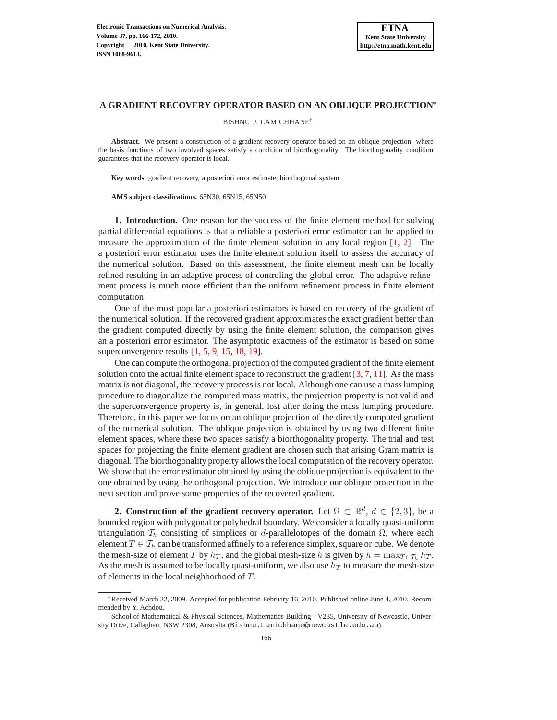# **A GRADIENT RECOVERY OPERATOR BASED ON AN OBLIQUE PROJECTION**<sup>∗</sup>

BISHNU P. LAMICHHANE†

Abstract. We present a construction of a gradient recovery operator based on an oblique projection, where the basis functions of two involved spaces satisfy a condition of biorthogonality. The biorthogonality condition guarantees that the recovery operator is local.

**Key words.** gradient recovery, a posteriori error estimate, biorthogonal system

**AMS subject classifications.** 65N30, 65N15, 65N50

**1. Introduction.** One reason for the success of the finite element method for solving partial differential equations is that a reliable a posteriori error estimator can be applied to measure the approximation of the finite element solution in any local region [\[1,](#page-6-0) [2\]](#page-6-1). The a posteriori error estimator uses the finite element solution itself to assess the accuracy of the numerical solution. Based on this assessment, the finite element mesh can be locally refined resulting in an adaptive process of controling the global error. The adaptive refinement process is much more efficient than the uniform refinement process in finite element computation.

One of the most popular a posteriori estimators is based on recovery of the gradient of the numerical solution. If the recovered gradient approximates the exact gradient better than the gradient computed directly by using the finite element solution, the comparison gives an a posteriori error estimator. The asymptotic exactness of the estimator is based on some superconvergence results [\[1,](#page-6-0) [5,](#page-6-2) [9,](#page-6-3) [15,](#page-6-4) [18,](#page-6-5) [19\]](#page-6-6).

One can compute the orthogonal projection of the computed gradient of the finite element solution onto the actual finite element space to reconstruct the gradient  $[3, 7, 11]$  $[3, 7, 11]$  $[3, 7, 11]$  $[3, 7, 11]$  $[3, 7, 11]$ . As the mass matrix is not diagonal, the recovery process is not local. Although one can use a mass lumping procedure to diagonalize the computed mass matrix, the projection property is not valid and the superconvergence property is, in general, lost after doing the mass lumping procedure. Therefore, in this paper we focus on an oblique projection of the directly computed gradient of the numerical solution. The oblique projection is obtained by using two different finite element spaces, where these two spaces satisfy a biorthogonality property. The trial and test spaces for projecting the finite element gradient are chosen such that arising Gram matrix is diagonal. The biorthogonality property allows the local computation of the recovery operator. We show that the error estimator obtained by using the oblique projection is equivalent to the one obtained by using the orthogonal projection. We introduce our oblique projection in the next section and prove some properties of the recovered gradient.

**2.** Construction of the gradient recovery operator. Let  $\Omega \subset \mathbb{R}^d$ ,  $d \in \{2,3\}$ , be a bounded region with polygonal or polyhedral boundary. We consider a locally quasi-uniform triangulation  $\mathcal{T}_h$  consisting of simplices or d-parallelotopes of the domain Ω, where each element  $T \in \mathcal{T}_h$  can be transformed affinely to a reference simplex, square or cube. We denote the mesh-size of element T by  $h_T$ , and the global mesh-size h is given by  $h = \max_{T \in T_h} h_T$ . As the mesh is assumed to be locally quasi-uniform, we also use  $h_T$  to measure the mesh-size of elements in the local neighborhood of T .

<sup>∗</sup>Received March 22, 2009. Accepted for publication February 16, 2010. Published online June 4, 2010. Recommended by Y. Achdou.

<sup>†</sup>School of Mathematical & Physical Sciences, Mathematics Building - V235, University of Newcastle, University Drive, Callaghan, NSW 2308, Australia (Bishnu.Lamichhane@newcastle.edu.au).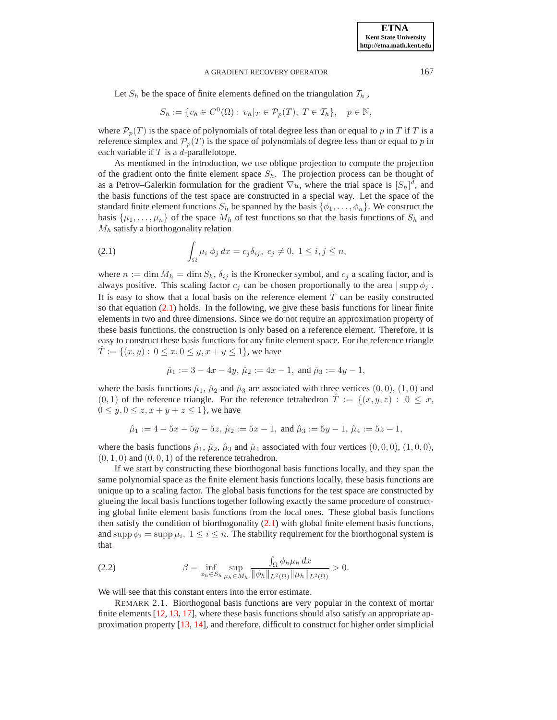## A GRADIENT RECOVERY OPERATOR 167

Let  $S_h$  be the space of finite elements defined on the triangulation  $T_h$ ,

$$
S_h := \{ v_h \in C^0(\Omega) : v_h|_T \in \mathcal{P}_p(T), T \in \mathcal{T}_h \}, \quad p \in \mathbb{N},
$$

where  $\mathcal{P}_p(T)$  is the space of polynomials of total degree less than or equal to p in T if T is a reference simplex and  $\mathcal{P}_p(T)$  is the space of polynomials of degree less than or equal to p in each variable if  $T$  is a  $d$ -parallelotope.

As mentioned in the introduction, we use oblique projection to compute the projection of the gradient onto the finite element space  $S_h$ . The projection process can be thought of as a Petrov–Galerkin formulation for the gradient  $\nabla u$ , where the trial space is  $[S_h]^d$ , and the basis functions of the test space are constructed in a special way. Let the space of the standard finite element functions  $S_h$  be spanned by the basis  $\{\phi_1, \ldots, \phi_n\}$ . We construct the basis  $\{\mu_1, \ldots, \mu_n\}$  of the space  $M_h$  of test functions so that the basis functions of  $S_h$  and  $M_h$  satisfy a biorthogonality relation

<span id="page-1-0"></span>(2.1) 
$$
\int_{\Omega} \mu_i \phi_j dx = c_j \delta_{ij}, \ c_j \neq 0, \ 1 \leq i, j \leq n,
$$

where  $n := \dim M_h = \dim S_h$ ,  $\delta_{ij}$  is the Kronecker symbol, and  $c_j$  a scaling factor, and is always positive. This scaling factor  $c_i$  can be chosen proportionally to the area  $|\sup \phi_i|$ . It is easy to show that a local basis on the reference element  $\hat{T}$  can be easily constructed so that equation  $(2.1)$  holds. In the following, we give these basis functions for linear finite elements in two and three dimensions. Since we do not require an approximation property of these basis functions, the construction is only based on a reference element. Therefore, it is easy to construct these basis functions for any finite element space. For the reference triangle  $T := \{(x, y): 0 \le x, 0 \le y, x + y \le 1\}$ , we have

$$
\hat{\mu}_1 := 3 - 4x - 4y
$$
,  $\hat{\mu}_2 := 4x - 1$ , and  $\hat{\mu}_3 := 4y - 1$ ,

where the basis functions  $\hat{\mu}_1$ ,  $\hat{\mu}_2$  and  $\hat{\mu}_3$  are associated with three vertices  $(0, 0)$ ,  $(1, 0)$  and  $(0, 1)$  of the reference triangle. For the reference tetrahedron  $\hat{T} := \{(x, y, z) : 0 \leq x,$  $0 \leq y, 0 \leq z, x + y + z \leq 1$ , we have

$$
\hat{\mu}_1 := 4 - 5x - 5y - 5z
$$
,  $\hat{\mu}_2 := 5x - 1$ , and  $\hat{\mu}_3 := 5y - 1$ ,  $\hat{\mu}_4 := 5z - 1$ ,

where the basis functions  $\hat{\mu}_1$ ,  $\hat{\mu}_2$ ,  $\hat{\mu}_3$  and  $\hat{\mu}_4$  associated with four vertices  $(0, 0, 0)$ ,  $(1, 0, 0)$ ,  $(0, 1, 0)$  and  $(0, 0, 1)$  of the reference tetrahedron.

If we start by constructing these biorthogonal basis functions locally, and they span the same polynomial space as the finite element basis functions locally, these basis functions are unique up to a scaling factor. The global basis functions for the test space are constructed by glueing the local basis functions together following exactly the same procedure of constructing global finite element basis functions from the local ones. These global basis functions then satisfy the condition of biorthogonality [\(2.1\)](#page-1-0) with global finite element basis functions, and supp  $\phi_i = \text{supp } \mu_i, \ 1 \leq i \leq n$ . The stability requirement for the biorthogonal system is that

<span id="page-1-1"></span>(2.2) 
$$
\beta = \inf_{\phi_h \in S_h} \sup_{\mu_h \in M_h} \frac{\int_{\Omega} \phi_h \mu_h dx}{\|\phi_h\|_{L^2(\Omega)} \|\mu_h\|_{L^2(\Omega)}} > 0.
$$

We will see that this constant enters into the error estimate.

REMARK 2.1. Biorthogonal basis functions are very popular in the context of mortar finite elements [\[12,](#page-6-10) [13,](#page-6-11) [17\]](#page-6-12), where these basis functions should also satisfy an appropriate approximation property [\[13,](#page-6-11) [14\]](#page-6-13), and therefore, difficult to construct for higher order simplicial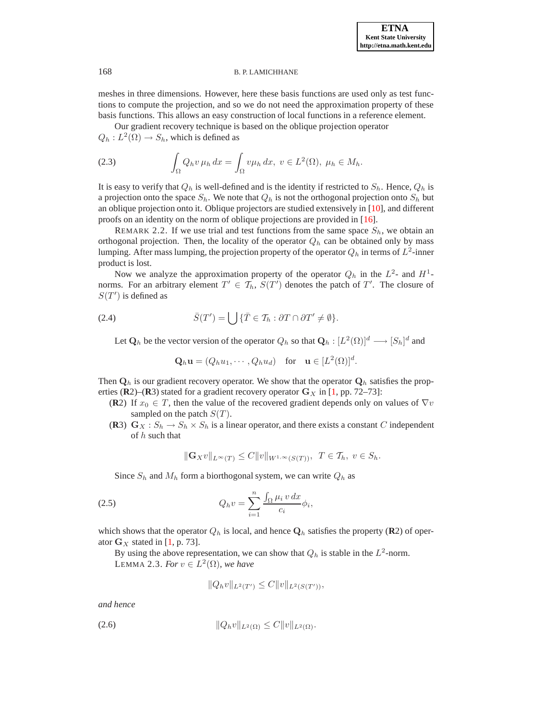# 168 B. P. LAMICHHANE

meshes in three dimensions. However, here these basis functions are used only as test functions to compute the projection, and so we do not need the approximation property of these basis functions. This allows an easy construction of local functions in a reference element.

Our gradient recovery technique is based on the oblique projection operator  $Q_h: L^2(\Omega) \to S_h$ , which is defined as

(2.3) 
$$
\int_{\Omega} Q_h v \,\mu_h \,dx = \int_{\Omega} v \mu_h \,dx, \ v \in L^2(\Omega), \ \mu_h \in M_h.
$$

It is easy to verify that  $Q_h$  is well-defined and is the identity if restricted to  $S_h$ . Hence,  $Q_h$  is a projection onto the space  $S_h$ . We note that  $Q_h$  is not the orthogonal projection onto  $S_h$  but an oblique projection onto it. Oblique projectors are studied extensively in [\[10\]](#page-6-14), and different proofs on an identity on the norm of oblique projections are provided in [\[16\]](#page-6-15).

REMARK 2.2. If we use trial and test functions from the same space  $S_h$ , we obtain an orthogonal projection. Then, the locality of the operator  $Q_h$  can be obtained only by mass lumping. After mass lumping, the projection property of the operator  $Q_h$  in terms of  $L^2$ -inner product is lost.

Now we analyze the approximation property of the operator  $Q_h$  in the  $L^2$ - and  $H^1$ norms. For an arbitrary element  $T' \in \mathcal{T}_h$ ,  $S(T')$  denotes the patch of  $T'$ . The closure of  $S(T')$  is defined as

(2.4) 
$$
\bar{S}(T') = \bigcup \{ \bar{T} \in \mathcal{T}_h : \partial T \cap \partial T' \neq \emptyset \}.
$$

<span id="page-2-1"></span>Let  $\mathbf{Q}_h$  be the vector version of the operator  $Q_h$  so that  $\mathbf{Q}_h : [L^2(\Omega)]^d \longrightarrow [S_h]^d$  and

$$
\mathbf{Q}_h \mathbf{u} = (Q_h u_1, \cdots, Q_h u_d) \quad \text{for} \quad \mathbf{u} \in [L^2(\Omega)]^d.
$$

Then  $\mathbf{Q}_h$  is our gradient recovery operator. We show that the operator  $\mathbf{Q}_h$  satisfies the properties ( $\mathbb{R}$ 2)–( $\mathbb{R}$ 3) stated for a gradient recovery operator  $\mathbb{G}_X$  in [\[1,](#page-6-0) pp. 72–73]:

- **(R**2) If  $x_0 \in T$ , then the value of the recovered gradient depends only on values of  $\nabla v$ sampled on the patch  $S(T)$ .
- (**R**3)  $G_X : S_h \to S_h \times S_h$  is a linear operator, and there exists a constant C independent of  $h$  such that

$$
\|\mathbf{G}_X v\|_{L^{\infty}(T)} \leq C \|v\|_{W^{1,\infty}(S(T))}, \ T \in \mathcal{T}_h, \ v \in S_h.
$$

<span id="page-2-0"></span>Since  $S_h$  and  $M_h$  form a biorthogonal system, we can write  $Q_h$  as

(2.5) 
$$
Q_h v = \sum_{i=1}^n \frac{\int_{\Omega} \mu_i v \, dx}{c_i} \phi_i,
$$

<span id="page-2-3"></span>which shows that the operator  $Q_h$  is local, and hence  $\mathbf{Q}_h$  satisfies the property (**R**2) of operator  $G_X$  stated in [\[1,](#page-6-0) p. 73].

By using the above representation, we can show that  $Q_h$  is stable in the  $L^2$ -norm. LEMMA 2.3. *For*  $v \in L^2(\Omega)$ *, we have* 

$$
||Q_h v||_{L^2(T')} \leq C||v||_{L^2(S(T'))},
$$

*and hence*

<span id="page-2-2"></span>
$$
(2.6) \t\t\t\t ||Q_h v||_{L^2(\Omega)} \leq C ||v||_{L^2(\Omega)}.
$$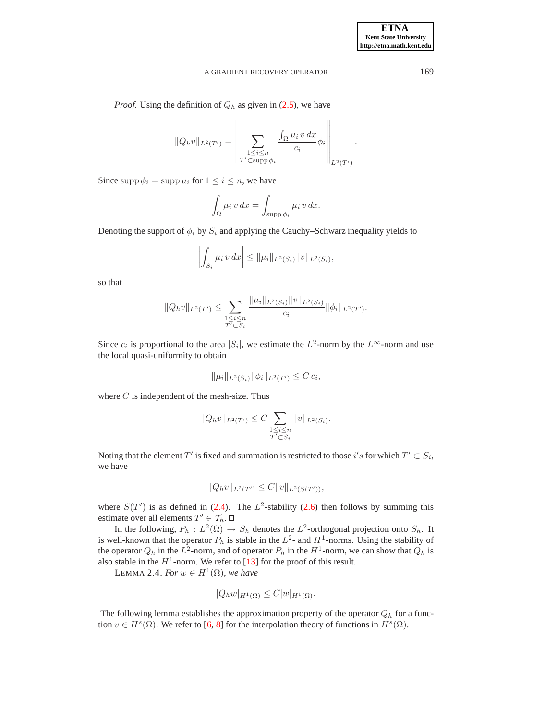### A GRADIENT RECOVERY OPERATOR 169

*Proof.* Using the definition of  $Q_h$  as given in [\(2.5\)](#page-2-0), we have

$$
||Q_h v||_{L^2(T')} = \left\| \sum_{\substack{1 \leq i \leq n \\ T' \subset \text{supp } \phi_i}} \frac{\int_{\Omega} \mu_i v \, dx}{c_i} \phi_i \right\|_{L^2(T')}.
$$

Since supp  $\phi_i = \text{supp }\mu_i$  for  $1 \leq i \leq n$ , we have

$$
\int_{\Omega} \mu_i \, v \, dx = \int_{\text{supp } \phi_i} \mu_i \, v \, dx.
$$

Denoting the support of  $\phi_i$  by  $S_i$  and applying the Cauchy–Schwarz inequality yields to

$$
\left| \int_{S_i} \mu_i \, v \, dx \right| \leq \|\mu_i\|_{L^2(S_i)} \|v\|_{L^2(S_i)},
$$

so that

$$
||Q_h v||_{L^2(T')} \leq \sum_{\substack{1 \leq i \leq n \\ T' \subset S_i}} \frac{||\mu_i||_{L^2(S_i)} ||v||_{L^2(S_i)}}{c_i} ||\phi_i||_{L^2(T')}.
$$

Since  $c_i$  is proportional to the area  $|S_i|$ , we estimate the  $L^2$ -norm by the  $L^\infty$ -norm and use the local quasi-uniformity to obtain

$$
\|\mu_i\|_{L^2(S_i)} \|\phi_i\|_{L^2(T')} \leq C c_i,
$$

where  $C$  is independent of the mesh-size. Thus

$$
||Q_h v||_{L^2(T')} \leq C \sum_{\substack{1 \leq i \leq n \\ T' \subset S_i}} ||v||_{L^2(S_i)}.
$$

Noting that the element  $T'$  is fixed and summation is restricted to those i's for which  $T' \subset S_i$ , we have

$$
||Q_h v||_{L^2(T')} \leq C||v||_{L^2(S(T'))},
$$

where  $S(T')$  is as defined in [\(2.4\)](#page-2-1). The  $L^2$ -stability [\(2.6\)](#page-2-2) then follows by summing this estimate over all elements  $T' \in \mathcal{T}_h$ .

In the following,  $P_h: L^2(\Omega) \to S_h$  denotes the  $L^2$ -orthogonal projection onto  $S_h$ . It is well-known that the operator  $P_h$  is stable in the  $L^2$ - and  $H^1$ -norms. Using the stability of the operator  $Q_h$  in the  $L^2$ -norm, and of operator  $P_h$  in the  $H^1$ -norm, we can show that  $Q_h$  is also stable in the  $H^1$ -norm. We refer to [\[13\]](#page-6-11) for the proof of this result.

LEMMA 2.4. *For*  $w \in H^1(\Omega)$ *, we have* 

$$
|Q_h w|_{H^1(\Omega)} \leq C |w|_{H^1(\Omega)}.
$$

The following lemma establishes the approximation property of the operator  $Q<sub>h</sub>$  for a function  $v \in H<sup>s</sup>(\Omega)$ . We refer to [\[6,](#page-6-16) [8\]](#page-6-17) for the interpolation theory of functions in  $H<sup>s</sup>(\Omega)$ .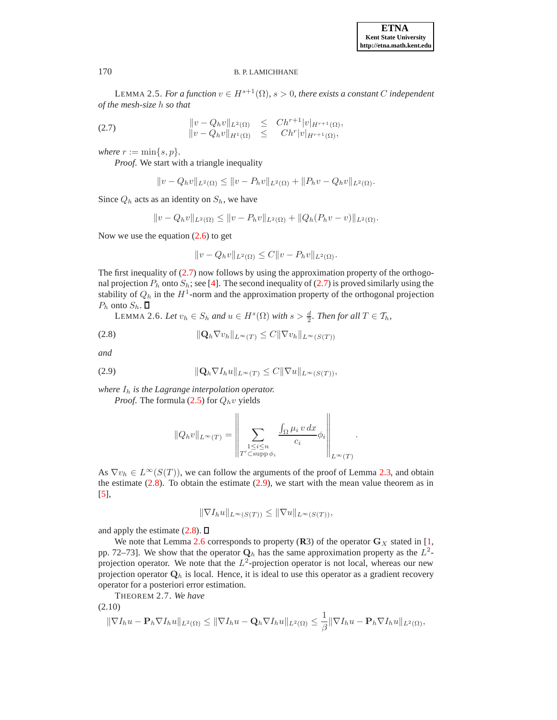### 170 B. P. LAMICHHANE

LEMMA 2.5. *For a function*  $v \in H^{s+1}(\Omega)$ *, s > 0, there exists a constant* C *independent of the mesh-size* h *so that*

<span id="page-4-0"></span>(2.7) 
$$
\|v - Q_h v\|_{L^2(\Omega)} \leq Ch^{r+1} |v|_{H^{r+1}(\Omega)}, \|v - Q_h v\|_{H^1(\Omega)} \leq Ch^r |v|_{H^{r+1}(\Omega)},
$$

*where*  $r := \min\{s, p\}.$ 

*Proof*. We start with a triangle inequality

$$
||v - Q_h v||_{L^2(\Omega)} \le ||v - P_h v||_{L^2(\Omega)} + ||P_h v - Q_h v||_{L^2(\Omega)}.
$$

Since  $Q_h$  acts as an identity on  $S_h$ , we have

$$
||v - Q_h v||_{L^2(\Omega)} \le ||v - P_h v||_{L^2(\Omega)} + ||Q_h (P_h v - v)||_{L^2(\Omega)}.
$$

Now we use the equation  $(2.6)$  to get

$$
||v - Q_h v||_{L^2(\Omega)} \leq C||v - P_h v||_{L^2(\Omega)}.
$$

The first inequality of [\(2.7\)](#page-4-0) now follows by using the approximation property of the orthogonal projection  $P_h$  onto  $S_h$ ; see [\[4\]](#page-6-18). The second inequality of [\(2.7\)](#page-4-0) is proved similarly using the stability of  $Q_h$  in the  $H^1$ -norm and the approximation property of the orthogonal projection  $P_h$  onto  $S_h$ .  $\Box$ 

<span id="page-4-1"></span>LEMMA 2.6. *Let*  $v_h \in S_h$  and  $u \in H^s(\Omega)$  with  $s > \frac{d}{2}$ . Then for all  $T \in \mathcal{T}_h$ ,

<span id="page-4-3"></span>
$$
(2.8) \t\t\t  $\|\mathbf{Q}_h \nabla v_h\|_{L^\infty(T)} \le C \|\nabla v_h\|_{L^\infty(S(T))}$
$$

*and*

<span id="page-4-2"></span>
$$
(2.9) \t\t\t ||\mathbf{Q}_h \nabla I_h u||_{L^{\infty}(T)} \leq C ||\nabla u||_{L^{\infty}(S(T))},
$$

*where* I<sup>h</sup> *is the Lagrange interpolation operator.*

*Proof.* The formula [\(2.5\)](#page-2-0) for  $Q_h v$  yields

$$
||Q_h v||_{L^{\infty}(T)} = \left\| \sum_{\substack{1 \leq i \leq n \\ T' \subset \text{supp } \phi_i}} \frac{\int_{\Omega} \mu_i v \, dx}{c_i} \phi_i \right\|_{L^{\infty}(T)}.
$$

As  $\nabla v_h \in L^{\infty}(S(T))$ , we can follow the arguments of the proof of Lemma [2.3,](#page-2-3) and obtain the estimate  $(2.8)$ . To obtain the estimate  $(2.9)$ , we start with the mean value theorem as in [\[5\]](#page-6-2),

$$
\|\nabla I_h u\|_{L^\infty(S(T))} \le \|\nabla u\|_{L^\infty(S(T))},
$$

and apply the estimate  $(2.8)$ .  $\Box$ 

We note that Lemma [2.6](#page-4-3) corresponds to property  $(R3)$  of the operator  $G_X$  stated in [\[1,](#page-6-0) pp. 72–73]. We show that the operator  $\mathbf{Q}_h$  has the same approximation property as the  $L^2$ projection operator. We note that the  $L^2$ -projection operator is not local, whereas our new projection operator  $\mathbf{Q}_h$  is local. Hence, it is ideal to use this operator as a gradient recovery operator for a posteriori error estimation.

THEOREM 2.7. *We have*

$$
(2.10)
$$
  

$$
\|\nabla I_h u - \mathbf{P}_h \nabla I_h u\|_{L^2(\Omega)} \le \|\nabla I_h u - \mathbf{Q}_h \nabla I_h u\|_{L^2(\Omega)} \le \frac{1}{\beta} \|\nabla I_h u - \mathbf{P}_h \nabla I_h u\|_{L^2(\Omega)},
$$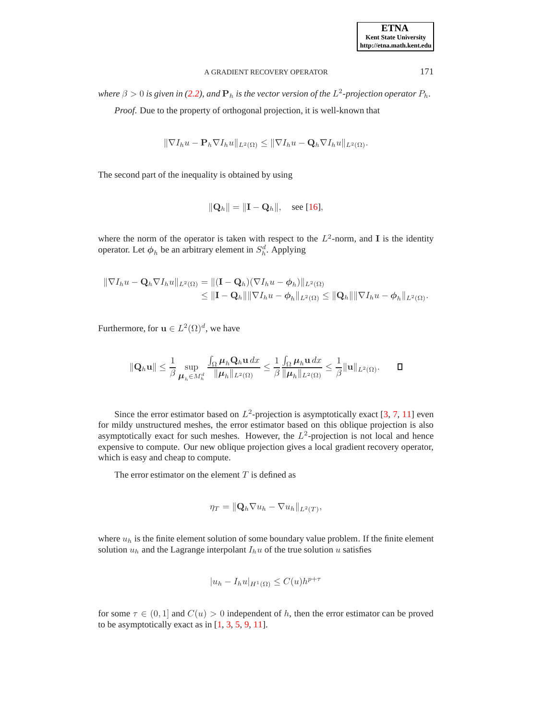## A GRADIENT RECOVERY OPERATOR 171

where  $\beta > 0$  is given in [\(2.2\)](#page-1-1), and  $\mathbf{P}_h$  is the vector version of the  $L^2$ -projection operator  $P_h$ .

*Proof*. Due to the property of orthogonal projection, it is well-known that

$$
\|\nabla I_h u - \mathbf{P}_h \nabla I_h u\|_{L^2(\Omega)} \le \|\nabla I_h u - \mathbf{Q}_h \nabla I_h u\|_{L^2(\Omega)}.
$$

The second part of the inequality is obtained by using

$$
\|\mathbf{Q}_h\| = \|\mathbf{I} - \mathbf{Q}_h\|, \quad \text{see } [16],
$$

where the norm of the operator is taken with respect to the  $L^2$ -norm, and I is the identity operator. Let  $\phi_h$  be an arbitrary element in  $S_h^d$ . Applying

$$
\|\nabla I_h u - \mathbf{Q}_h \nabla I_h u\|_{L^2(\Omega)} = \|(\mathbf{I} - \mathbf{Q}_h)(\nabla I_h u - \phi_h)\|_{L^2(\Omega)}
$$
  

$$
\leq \|\mathbf{I} - \mathbf{Q}_h\| \|\nabla I_h u - \phi_h\|_{L^2(\Omega)} \leq \|\mathbf{Q}_h\| \|\nabla I_h u - \phi_h\|_{L^2(\Omega)}.
$$

Furthermore, for  $\mathbf{u} \in L^2(\Omega)^d$ , we have

$$
\|\mathbf{Q}_h\mathbf{u}\| \leq \frac{1}{\beta} \sup_{\boldsymbol{\mu}_h \in M_h^d} \frac{\int_{\Omega} \boldsymbol{\mu}_h \mathbf{Q}_h \mathbf{u} \, dx}{\|\boldsymbol{\mu}_h\|_{L^2(\Omega)}} \leq \frac{1}{\beta} \frac{\int_{\Omega} \boldsymbol{\mu}_h \mathbf{u} \, dx}{\|\boldsymbol{\mu}_h\|_{L^2(\Omega)}} \leq \frac{1}{\beta} \|\mathbf{u}\|_{L^2(\Omega)}.
$$

Since the error estimator based on  $L^2$ -projection is asymptotically exact [\[3,](#page-6-7) [7,](#page-6-8) [11\]](#page-6-9) even for mildy unstructured meshes, the error estimator based on this oblique projection is also asymptotically exact for such meshes. However, the  $L^2$ -projection is not local and hence expensive to compute. Our new oblique projection gives a local gradient recovery operator, which is easy and cheap to compute.

The error estimator on the element  $T$  is defined as

$$
\eta_T = \|\mathbf{Q}_h \nabla u_h - \nabla u_h\|_{L^2(T)},
$$

where  $u_h$  is the finite element solution of some boundary value problem. If the finite element solution  $u_h$  and the Lagrange interpolant  $I_h u$  of the true solution u satisfies

$$
|u_h - I_h u|_{H^1(\Omega)} \le C(u)h^{p+\tau}
$$

for some  $\tau \in (0,1]$  and  $C(u) > 0$  independent of h, then the error estimator can be proved to be asymptotically exact as in  $[1, 3, 5, 9, 11]$  $[1, 3, 5, 9, 11]$  $[1, 3, 5, 9, 11]$  $[1, 3, 5, 9, 11]$  $[1, 3, 5, 9, 11]$  $[1, 3, 5, 9, 11]$  $[1, 3, 5, 9, 11]$  $[1, 3, 5, 9, 11]$ .